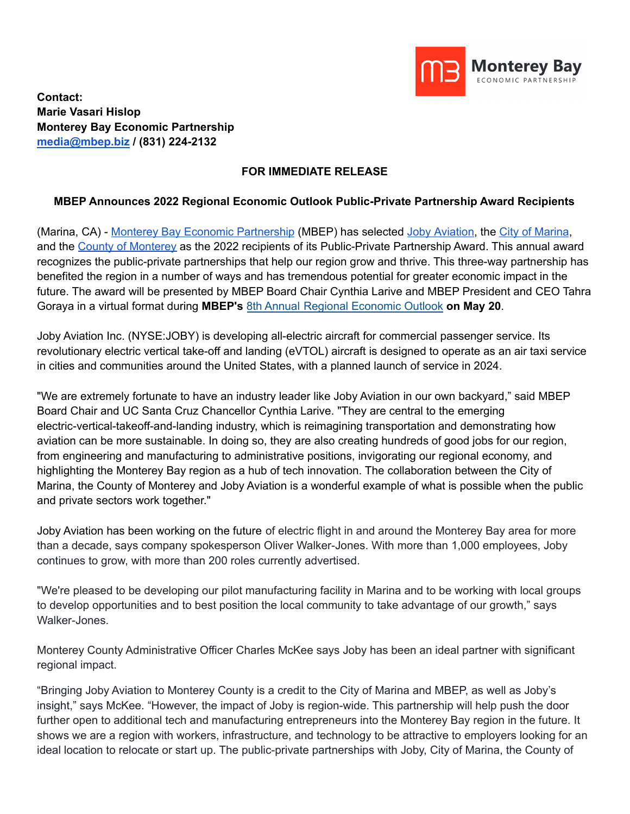

**Contact: Marie Vasari Hislop Monterey Bay Economic Partnership [media@mbep.biz](mailto:media@mbep.biz) / (831) 224-2132**

## **FOR IMMEDIATE RELEASE**

## **MBEP Announces 2022 Regional Economic Outlook Public-Private Partnership Award Recipients**

(Marina, CA) - Monterey Bay Economic [Partnership](http://mbep.biz) (MBEP) has selected Joby [Aviation,](https://www.jobyaviation.com/) the City of [Marina](https://www.cityofmarina.org/), and the County of [Monterey](https://www.co.monterey.ca.us/) as the 2022 recipients of its Public-Private Partnership Award. This annual award recognizes the public-private partnerships that help our region grow and thrive. This three-way partnership has benefited the region in a number of ways and has tremendous potential for greater economic impact in the future. The award will be presented by MBEP Board Chair Cynthia Larive and MBEP President and CEO Tahra Goraya in a virtual format during **MBEP's** 8th Annual Regional [Economic](https://www.eventbrite.com/e/8th-annual-regional-economic-outlook-tickets-275110722577) Outlook **on May 20**.

Joby Aviation Inc. (NYSE:JOBY) is developing all-electric aircraft for commercial passenger service. Its revolutionary electric vertical take-off and landing (eVTOL) aircraft is designed to operate as an air taxi service in cities and communities around the United States, with a planned launch of service in 2024.

"We are extremely fortunate to have an industry leader like Joby Aviation in our own backyard," said MBEP Board Chair and UC Santa Cruz Chancellor Cynthia Larive. "They are central to the emerging electric-vertical-takeoff-and-landing industry, which is reimagining transportation and demonstrating how aviation can be more sustainable. In doing so, they are also creating hundreds of good jobs for our region, from engineering and manufacturing to administrative positions, invigorating our regional economy, and highlighting the Monterey Bay region as a hub of tech innovation. The collaboration between the City of Marina, the County of Monterey and Joby Aviation is a wonderful example of what is possible when the public and private sectors work together."

Joby Aviation has been working on the future of electric flight in and around the Monterey Bay area for more than a decade, says company spokesperson Oliver Walker-Jones. With more than 1,000 employees, Joby continues to grow, with more than 200 roles currently advertised.

"We're pleased to be developing our pilot manufacturing facility in Marina and to be working with local groups to develop opportunities and to best position the local community to take advantage of our growth," says Walker-Jones.

Monterey County Administrative Officer Charles McKee says Joby has been an ideal partner with significant regional impact.

"Bringing Joby Aviation to Monterey County is a credit to the City of Marina and MBEP, as well as Joby's insight," says McKee. "However, the impact of Joby is region-wide. This partnership will help push the door further open to additional tech and manufacturing entrepreneurs into the Monterey Bay region in the future. It shows we are a region with workers, infrastructure, and technology to be attractive to employers looking for an ideal location to relocate or start up. The public-private partnerships with Joby, City of Marina, the County of